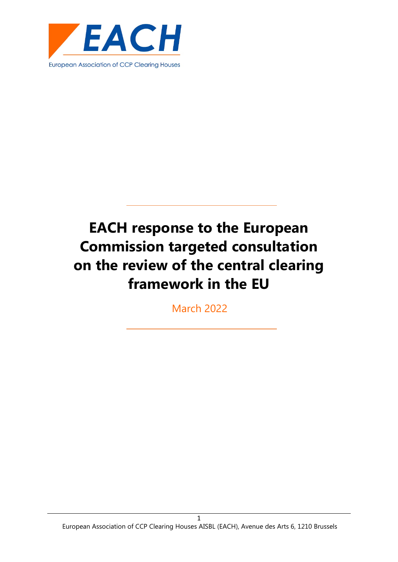

March 2022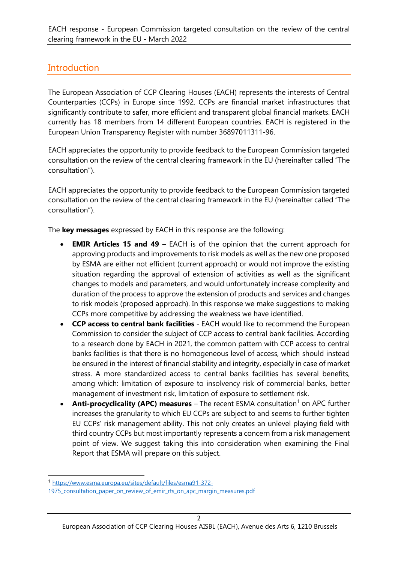# **Introduction**

The European Association of CCP Clearing Houses (EACH) represents the interests of Central Counterparties (CCPs) in Europe since 1992. CCPs are financial market infrastructures that significantly contribute to safer, more efficient and transparent global financial markets. EACH currently has 18 members from 14 different European countries. EACH is registered in the European Union Transparency Register with number 36897011311-96.

EACH appreciates the opportunity to provide feedback to the European Commission targeted consultation on the review of the central clearing framework in the EU (hereinafter called "The consultation").

EACH appreciates the opportunity to provide feedback to the European Commission targeted consultation on the review of the central clearing framework in the EU (hereinafter called "The consultation").

The **key messages** expressed by EACH in this response are the following:

- **EMIR Articles 15 and 49** EACH is of the opinion that the current approach for approving products and improvements to risk models as well as the new one proposed by ESMA are either not efficient (current approach) or would not improve the existing situation regarding the approval of extension of activities as well as the significant changes to models and parameters, and would unfortunately increase complexity and duration of the process to approve the extension of products and services and changes to risk models (proposed approach). In this response we make suggestions to making CCPs more competitive by addressing the weakness we have identified.
- **CCP access to central bank facilities**  EACH would like to recommend the European Commission to consider the subject of CCP access to central bank facilities. According to a research done by EACH in 2021, the common pattern with CCP access to central banks facilities is that there is no homogeneous level of access, which should instead be ensured in the interest of financial stability and integrity, especially in case of market stress. A more standardized access to central banks facilities has several benefits, among which: limitation of exposure to insolvency risk of commercial banks, better management of investment risk, limitation of exposure to settlement risk.
- Anti-procyclicality (APC) measures The recent ESMA consultation<sup>[1](#page-1-0)</sup> on APC further increases the granularity to which EU CCPs are subject to and seems to further tighten EU CCPs' risk management ability. This not only creates an unlevel playing field with third country CCPs but most importantly represents a concern from a risk management point of view. We suggest taking this into consideration when examining the Final Report that ESMA will prepare on this subject.

<span id="page-1-0"></span><sup>1</sup> [https://www.esma.europa.eu/sites/default/files/esma91-372-](https://www.esma.europa.eu/sites/default/files/esma91-372-1975_consultation_paper_on_review_of_emir_rts_on_apc_margin_measures.pdf)

<sup>1975</sup> consultation paper on review of emir rts on apc margin measures.pdf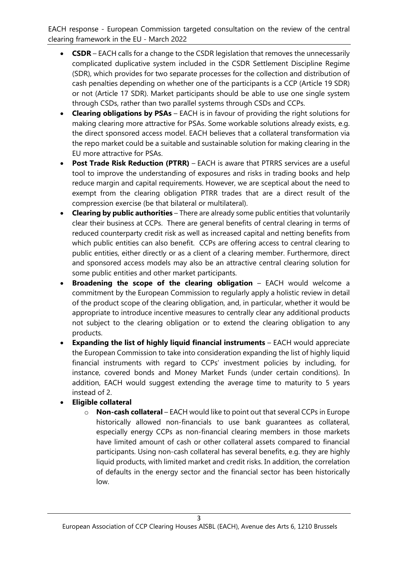- **CSDR** EACH calls for a change to the CSDR legislation that removes the unnecessarily complicated duplicative system included in the CSDR Settlement Discipline Regime (SDR), which provides for two separate processes for the collection and distribution of cash penalties depending on whether one of the participants is a CCP (Article 19 SDR) or not (Article 17 SDR). Market participants should be able to use one single system through CSDs, rather than two parallel systems through CSDs and CCPs.
- **Clearing obligations by PSAs** EACH is in favour of providing the right solutions for making clearing more attractive for PSAs. Some workable solutions already exists, e.g. the direct sponsored access model. EACH believes that a collateral transformation via the repo market could be a suitable and sustainable solution for making clearing in the EU more attractive for PSAs.
- **Post Trade Risk Reduction (PTRR)** EACH is aware that PTRRS services are a useful tool to improve the understanding of exposures and risks in trading books and help reduce margin and capital requirements. However, we are sceptical about the need to exempt from the clearing obligation PTRR trades that are a direct result of the compression exercise (be that bilateral or multilateral).
- **Clearing by public authorities** There are already some public entities that voluntarily clear their business at CCPs. There are general benefits of central clearing in terms of reduced counterparty credit risk as well as increased capital and netting benefits from which public entities can also benefit. CCPs are offering access to central clearing to public entities, either directly or as a client of a clearing member. Furthermore, direct and sponsored access models may also be an attractive central clearing solution for some public entities and other market participants.
- **Broadening the scope of the clearing obligation** EACH would welcome a commitment by the European Commission to regularly apply a holistic review in detail of the product scope of the clearing obligation, and, in particular, whether it would be appropriate to introduce incentive measures to centrally clear any additional products not subject to the clearing obligation or to extend the clearing obligation to any products.
- **Expanding the list of highly liquid financial instruments** EACH would appreciate the European Commission to take into consideration expanding the list of highly liquid financial instruments with regard to CCPs' investment policies by including, for instance, covered bonds and Money Market Funds (under certain conditions). In addition, EACH would suggest extending the average time to maturity to 5 years instead of 2.
- **Eligible collateral**
	- o **Non-cash collateral** EACH would like to point out that several CCPs in Europe historically allowed non-financials to use bank guarantees as collateral, especially energy CCPs as non-financial clearing members in those markets have limited amount of cash or other collateral assets compared to financial participants. Using non-cash collateral has several benefits, e.g. they are highly liquid products, with limited market and credit risks. In addition, the correlation of defaults in the energy sector and the financial sector has been historically low.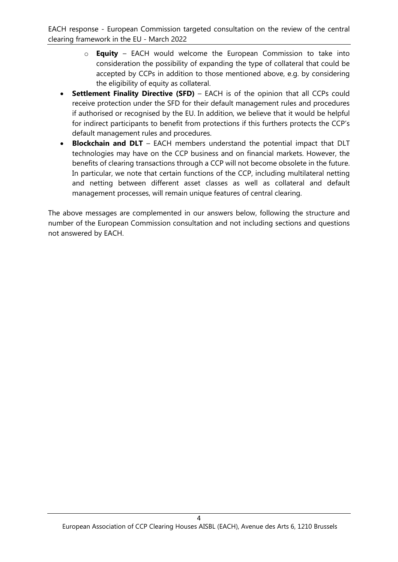- o **Equity** EACH would welcome the European Commission to take into consideration the possibility of expanding the type of collateral that could be accepted by CCPs in addition to those mentioned above, e.g. by considering the eligibility of equity as collateral.
- **Settlement Finality Directive (SFD)** EACH is of the opinion that all CCPs could receive protection under the SFD for their default management rules and procedures if authorised or recognised by the EU. In addition, we believe that it would be helpful for indirect participants to benefit from protections if this furthers protects the CCP's default management rules and procedures.
- **Blockchain and DLT** EACH members understand the potential impact that DLT technologies may have on the CCP business and on financial markets. However, the benefits of clearing transactions through a CCP will not become obsolete in the future. In particular, we note that certain functions of the CCP, including multilateral netting and netting between different asset classes as well as collateral and default management processes, will remain unique features of central clearing.

The above messages are complemented in our answers below, following the structure and number of the European Commission consultation and not including sections and questions not answered by EACH.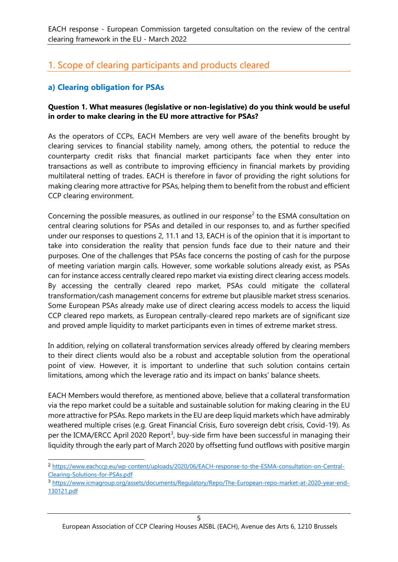# 1. Scope of clearing participants and products cleared

## **a) Clearing obligation for PSAs**

#### **Question 1. What measures (legislative or non-legislative) do you think would be useful in order to make clearing in the EU more attractive for PSAs?**

As the operators of CCPs, EACH Members are very well aware of the benefits brought by clearing services to financial stability namely, among others, the potential to reduce the counterparty credit risks that financial market participants face when they enter into transactions as well as contribute to improving efficiency in financial markets by providing multilateral netting of trades. EACH is therefore in favor of providing the right solutions for making clearing more attractive for PSAs, helping them to benefit from the robust and efficient CCP clearing environment.

Concerning the possible measures, as outlined in our response<sup>[2](#page-4-0)</sup> to the ESMA consultation on central clearing solutions for PSAs and detailed in our responses to, and as further specified under our responses to questions 2, 11.1 and 13, EACH is of the opinion that it is important to take into consideration the reality that pension funds face due to their nature and their purposes. One of the challenges that PSAs face concerns the posting of cash for the purpose of meeting variation margin calls. However, some workable solutions already exist, as PSAs can for instance access centrally cleared repo market via existing direct clearing access models. By accessing the centrally cleared repo market, PSAs could mitigate the collateral transformation/cash management concerns for extreme but plausible market stress scenarios. Some European PSAs already make use of direct clearing access models to access the liquid CCP cleared repo markets, as European centrally-cleared repo markets are of significant size and proved ample liquidity to market participants even in times of extreme market stress.

In addition, relying on collateral transformation services already offered by clearing members to their direct clients would also be a robust and acceptable solution from the operational point of view. However, it is important to underline that such solution contains certain limitations, among which the leverage ratio and its impact on banks' balance sheets.

EACH Members would therefore, as mentioned above, believe that a collateral transformation via the repo market could be a suitable and sustainable solution for making clearing in the EU more attractive for PSAs. Repo markets in the EU are deep liquid markets which have admirably weathered multiple crises (e.g. Great Financial Crisis, Euro sovereign debt crisis, Covid-19). As per the ICMA/ERCC April 2020 Report<sup>[3](#page-4-1)</sup>, buy-side firm have been successful in managing their liquidity through the early part of March 2020 by offsetting fund outflows with positive margin

<span id="page-4-0"></span><sup>2</sup> [https://www.eachccp.eu/wp-content/uploads/2020/06/EACH-response-to-the-ESMA-consultation-on-Central-](https://www.eachccp.eu/wp-content/uploads/2020/06/EACH-response-to-the-ESMA-consultation-on-Central-Clearing-Solutions-for-PSAs.pdf)[Clearing-Solutions-for-PSAs.pdf](https://www.eachccp.eu/wp-content/uploads/2020/06/EACH-response-to-the-ESMA-consultation-on-Central-Clearing-Solutions-for-PSAs.pdf)

<span id="page-4-1"></span><sup>3</sup> [https://www.icmagroup.org/assets/documents/Regulatory/Repo/The-European-repo-market-at-2020-year-end-](https://www.icmagroup.org/assets/documents/Regulatory/Repo/The-European-repo-market-at-2020-year-end-130121.pdf)[130121.pdf](https://www.icmagroup.org/assets/documents/Regulatory/Repo/The-European-repo-market-at-2020-year-end-130121.pdf)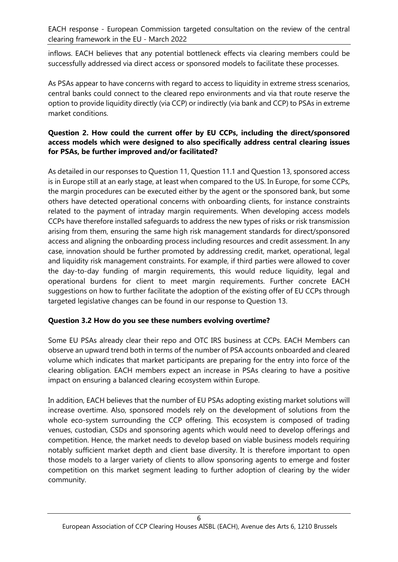inflows. EACH believes that any potential bottleneck effects via clearing members could be successfully addressed via direct access or sponsored models to facilitate these processes.

As PSAs appear to have concerns with regard to access to liquidity in extreme stress scenarios, central banks could connect to the cleared repo environments and via that route reserve the option to provide liquidity directly (via CCP) or indirectly (via bank and CCP) to PSAs in extreme market conditions.

#### **Question 2. How could the current offer by EU CCPs, including the direct/sponsored access models which were designed to also specifically address central clearing issues for PSAs, be further improved and/or facilitated?**

As detailed in our responses to Question 11, Question 11.1 and Question 13, sponsored access is in Europe still at an early stage, at least when compared to the US. In Europe, for some CCPs, the margin procedures can be executed either by the agent or the sponsored bank, but some others have detected operational concerns with onboarding clients, for instance constraints related to the payment of intraday margin requirements. When developing access models CCPs have therefore installed safeguards to address the new types of risks or risk transmission arising from them, ensuring the same high risk management standards for direct/sponsored access and aligning the onboarding process including resources and credit assessment. In any case, innovation should be further promoted by addressing credit, market, operational, legal and liquidity risk management constraints. For example, if third parties were allowed to cover the day-to-day funding of margin requirements, this would reduce liquidity, legal and operational burdens for client to meet margin requirements. Further concrete EACH suggestions on how to further facilitate the adoption of the existing offer of EU CCPs through targeted legislative changes can be found in our response to Question 13.

#### **Question 3.2 How do you see these numbers evolving overtime?**

Some EU PSAs already clear their repo and OTC IRS business at CCPs. EACH Members can observe an upward trend both in terms of the number of PSA accounts onboarded and cleared volume which indicates that market participants are preparing for the entry into force of the clearing obligation. EACH members expect an increase in PSAs clearing to have a positive impact on ensuring a balanced clearing ecosystem within Europe.

In addition, EACH believes that the number of EU PSAs adopting existing market solutions will increase overtime. Also, sponsored models rely on the development of solutions from the whole eco-system surrounding the CCP offering. This ecosystem is composed of trading venues, custodian, CSDs and sponsoring agents which would need to develop offerings and competition. Hence, the market needs to develop based on viable business models requiring notably sufficient market depth and client base diversity. It is therefore important to open those models to a larger variety of clients to allow sponsoring agents to emerge and foster competition on this market segment leading to further adoption of clearing by the wider community.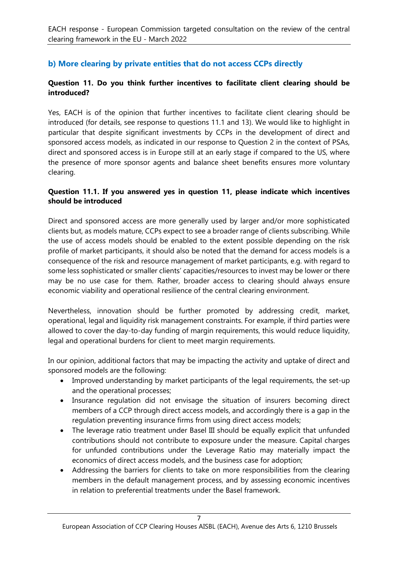# **b) More clearing by private entities that do not access CCPs directly**

#### **Question 11. Do you think further incentives to facilitate client clearing should be introduced?**

Yes, EACH is of the opinion that further incentives to facilitate client clearing should be introduced (for details, see response to questions 11.1 and 13). We would like to highlight in particular that despite significant investments by CCPs in the development of direct and sponsored access models, as indicated in our response to Question 2 in the context of PSAs, direct and sponsored access is in Europe still at an early stage if compared to the US, where the presence of more sponsor agents and balance sheet benefits ensures more voluntary clearing.

#### **Question 11.1. If you answered yes in question 11, please indicate which incentives should be introduced**

Direct and sponsored access are more generally used by larger and/or more sophisticated clients but, as models mature, CCPs expect to see a broader range of clients subscribing. While the use of access models should be enabled to the extent possible depending on the risk profile of market participants, it should also be noted that the demand for access models is a consequence of the risk and resource management of market participants, e.g. with regard to some less sophisticated or smaller clients' capacities/resources to invest may be lower or there may be no use case for them. Rather, broader access to clearing should always ensure economic viability and operational resilience of the central clearing environment.

Nevertheless, innovation should be further promoted by addressing credit, market, operational, legal and liquidity risk management constraints. For example, if third parties were allowed to cover the day-to-day funding of margin requirements, this would reduce liquidity, legal and operational burdens for client to meet margin requirements.

In our opinion, additional factors that may be impacting the activity and uptake of direct and sponsored models are the following:

- Improved understanding by market participants of the legal requirements, the set-up and the operational processes;
- Insurance regulation did not envisage the situation of insurers becoming direct members of a CCP through direct access models, and accordingly there is a gap in the regulation preventing insurance firms from using direct access models;
- The leverage ratio treatment under Basel III should be equally explicit that unfunded contributions should not contribute to exposure under the measure. Capital charges for unfunded contributions under the Leverage Ratio may materially impact the economics of direct access models, and the business case for adoption;
- Addressing the barriers for clients to take on more responsibilities from the clearing members in the default management process, and by assessing economic incentives in relation to preferential treatments under the Basel framework.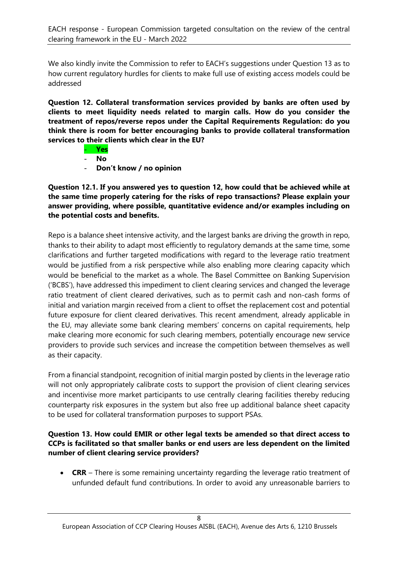We also kindly invite the Commission to refer to EACH's suggestions under Question 13 as to how current regulatory hurdles for clients to make full use of existing access models could be addressed

**Question 12. Collateral transformation services provided by banks are often used by clients to meet liquidity needs related to margin calls. How do you consider the treatment of repos/reverse repos under the Capital Requirements Regulation: do you think there is room for better encouraging banks to provide collateral transformation services to their clients which clear in the EU?**

- **Yes**
- **No**
- **Don't know / no opinion**

**Question 12.1. If you answered yes to question 12, how could that be achieved while at the same time properly catering for the risks of repo transactions? Please explain your answer providing, where possible, quantitative evidence and/or examples including on the potential costs and benefits.**

Repo is a balance sheet intensive activity, and the largest banks are driving the growth in repo, thanks to their ability to adapt most efficiently to regulatory demands at the same time, some clarifications and further targeted modifications with regard to the leverage ratio treatment would be justified from a risk perspective while also enabling more clearing capacity which would be beneficial to the market as a whole. The Basel Committee on Banking Supervision ('BCBS'), have addressed this impediment to client clearing services and changed the leverage ratio treatment of client cleared derivatives, such as to permit cash and non-cash forms of initial and variation margin received from a client to offset the replacement cost and potential future exposure for client cleared derivatives. This recent amendment, already applicable in the EU, may alleviate some bank clearing members' concerns on capital requirements, help make clearing more economic for such clearing members, potentially encourage new service providers to provide such services and increase the competition between themselves as well as their capacity.

From a financial standpoint, recognition of initial margin posted by clients in the leverage ratio will not only appropriately calibrate costs to support the provision of client clearing services and incentivise more market participants to use centrally clearing facilities thereby reducing counterparty risk exposures in the system but also free up additional balance sheet capacity to be used for collateral transformation purposes to support PSAs.

#### **Question 13. How could EMIR or other legal texts be amended so that direct access to CCPs is facilitated so that smaller banks or end users are less dependent on the limited number of client clearing service providers?**

• **CRR** – There is some remaining uncertainty regarding the leverage ratio treatment of unfunded default fund contributions. In order to avoid any unreasonable barriers to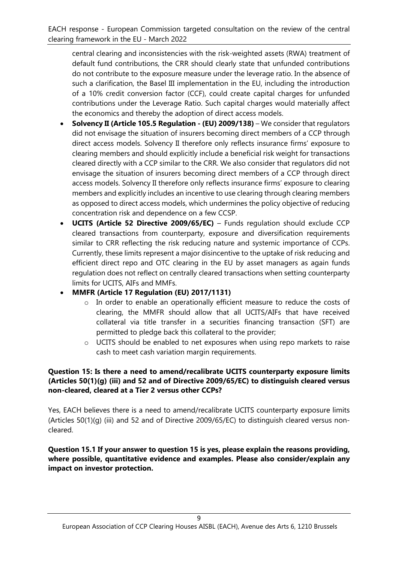central clearing and inconsistencies with the risk-weighted assets (RWA) treatment of default fund contributions, the CRR should clearly state that unfunded contributions do not contribute to the exposure measure under the leverage ratio. In the absence of such a clarification, the Basel III implementation in the EU, including the introduction of a 10% credit conversion factor (CCF), could create capital charges for unfunded contributions under the Leverage Ratio. Such capital charges would materially affect the economics and thereby the adoption of direct access models.

- **Solvency II (Article 105.5 Regulation - (EU) 2009/138)** We consider that regulators did not envisage the situation of insurers becoming direct members of a CCP through direct access models. Solvency II therefore only reflects insurance firms' exposure to clearing members and should explicitly include a beneficial risk weight for transactions cleared directly with a CCP similar to the CRR. We also consider that regulators did not envisage the situation of insurers becoming direct members of a CCP through direct access models. Solvency II therefore only reflects insurance firms' exposure to clearing members and explicitly includes an incentive to use clearing through clearing members as opposed to direct access models, which undermines the policy objective of reducing concentration risk and dependence on a few CCSP.
- **UCITS (Article 52 Directive 2009/65/EC)** Funds regulation should exclude CCP cleared transactions from counterparty, exposure and diversification requirements similar to CRR reflecting the risk reducing nature and systemic importance of CCPs. Currently, these limits represent a major disincentive to the uptake of risk reducing and efficient direct repo and OTC clearing in the EU by asset managers as again funds regulation does not reflect on centrally cleared transactions when setting counterparty limits for UCITS, AIFs and MMFs.
- **MMFR (Article 17 Regulation (EU) 2017/1131)**
	- o In order to enable an operationally efficient measure to reduce the costs of clearing, the MMFR should allow that all UCITS/AIFs that have received collateral via title transfer in a securities financing transaction (SFT) are permitted to pledge back this collateral to the provider;
	- o UCITS should be enabled to net exposures when using repo markets to raise cash to meet cash variation margin requirements.

#### **Question 15: Is there a need to amend/recalibrate UCITS counterparty exposure limits (Articles 50(1)(g) (iii) and 52 and of Directive 2009/65/EC) to distinguish cleared versus non-cleared, cleared at a Tier 2 versus other CCPs?**

Yes, EACH believes there is a need to amend/recalibrate UCITS counterparty exposure limits (Articles 50(1)(g) (iii) and 52 and of Directive 2009/65/EC) to distinguish cleared versus noncleared.

#### **Question 15.1 If your answer to question 15 is yes, please explain the reasons providing, where possible, quantitative evidence and examples. Please also consider/explain any impact on investor protection.**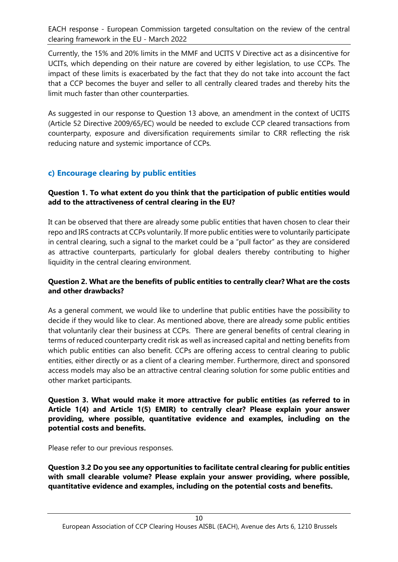Currently, the 15% and 20% limits in the MMF and UCITS V Directive act as a disincentive for UCITs, which depending on their nature are covered by either legislation, to use CCPs. The impact of these limits is exacerbated by the fact that they do not take into account the fact that a CCP becomes the buyer and seller to all centrally cleared trades and thereby hits the limit much faster than other counterparties.

As suggested in our response to Question 13 above, an amendment in the context of UCITS (Article 52 Directive 2009/65/EC) would be needed to exclude CCP cleared transactions from counterparty, exposure and diversification requirements similar to CRR reflecting the risk reducing nature and systemic importance of CCPs.

## **c) Encourage clearing by public entities**

#### **Question 1. To what extent do you think that the participation of public entities would add to the attractiveness of central clearing in the EU?**

It can be observed that there are already some public entities that haven chosen to clear their repo and IRS contracts at CCPs voluntarily. If more public entities were to voluntarily participate in central clearing, such a signal to the market could be a "pull factor" as they are considered as attractive counterparts, particularly for global dealers thereby contributing to higher liquidity in the central clearing environment.

#### **Question 2. What are the benefits of public entities to centrally clear? What are the costs and other drawbacks?**

As a general comment, we would like to underline that public entities have the possibility to decide if they would like to clear. As mentioned above, there are already some public entities that voluntarily clear their business at CCPs. There are general benefits of central clearing in terms of reduced counterparty credit risk as well as increased capital and netting benefits from which public entities can also benefit. CCPs are offering access to central clearing to public entities, either directly or as a client of a clearing member. Furthermore, direct and sponsored access models may also be an attractive central clearing solution for some public entities and other market participants.

#### **Question 3. What would make it more attractive for public entities (as referred to in Article 1(4) and Article 1(5) EMIR) to centrally clear? Please explain your answer providing, where possible, quantitative evidence and examples, including on the potential costs and benefits.**

Please refer to our previous responses.

**Question 3.2 Do you see any opportunities to facilitate central clearing for public entities with small clearable volume? Please explain your answer providing, where possible, quantitative evidence and examples, including on the potential costs and benefits.**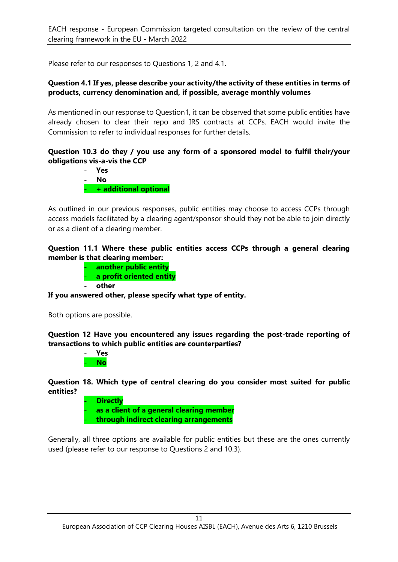Please refer to our responses to Questions 1, 2 and 4.1.

#### **Question 4.1 If yes, please describe your activity/the activity of these entities in terms of products, currency denomination and, if possible, average monthly volumes**

As mentioned in our response to Question1, it can be observed that some public entities have already chosen to clear their repo and IRS contracts at CCPs. EACH would invite the Commission to refer to individual responses for further details.

#### **Question 10.3 do they / you use any form of a sponsored model to fulfil their/your obligations vis-a-vis the CCP**

- **Yes**
- **No**

- **+ additional optional**

As outlined in our previous responses, public entities may choose to access CCPs through access models facilitated by a clearing agent/sponsor should they not be able to join directly or as a client of a clearing member.

**Question 11.1 Where these public entities access CCPs through a general clearing member is that clearing member:**

- **another public entity**
	- **a profit oriented entity**
- **other**

**If you answered other, please specify what type of entity.**

Both options are possible.

**Question 12 Have you encountered any issues regarding the post-trade reporting of transactions to which public entities are counterparties?**

> - **Yes** - **No**

**Question 18. Which type of central clearing do you consider most suited for public entities?**

- **Directly** - **as a client of a general clearing member** - **through indirect clearing arrangements**

Generally, all three options are available for public entities but these are the ones currently used (please refer to our response to Questions 2 and 10.3).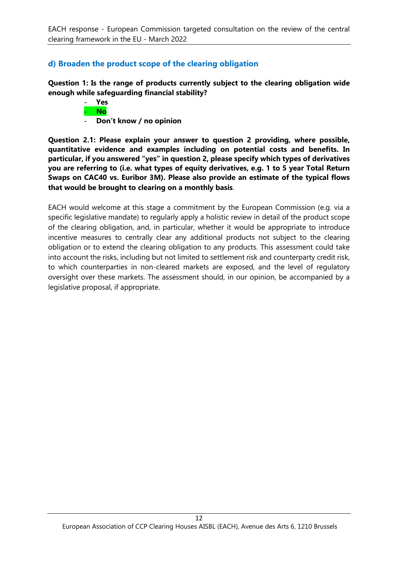## **d) Broaden the product scope of the clearing obligation**

**Question 1: Is the range of products currently subject to the clearing obligation wide enough while safeguarding financial stability?**



- **Don't know / no opinion**

**Question 2.1: Please explain your answer to question 2 providing, where possible, quantitative evidence and examples including on potential costs and benefits. In particular, if you answered "yes" in question 2, please specify which types of derivatives you are referring to (i.e. what types of equity derivatives, e.g. 1 to 5 year Total Return Swaps on CAC40 vs. Euribor 3M). Please also provide an estimate of the typical flows that would be brought to clearing on a monthly basis**.

EACH would welcome at this stage a commitment by the European Commission (e.g. via a specific legislative mandate) to regularly apply a holistic review in detail of the product scope of the clearing obligation, and, in particular, whether it would be appropriate to introduce incentive measures to centrally clear any additional products not subject to the clearing obligation or to extend the clearing obligation to any products. This assessment could take into account the risks, including but not limited to settlement risk and counterparty credit risk, to which counterparties in non-cleared markets are exposed, and the level of regulatory oversight over these markets. The assessment should, in our opinion, be accompanied by a legislative proposal, if appropriate.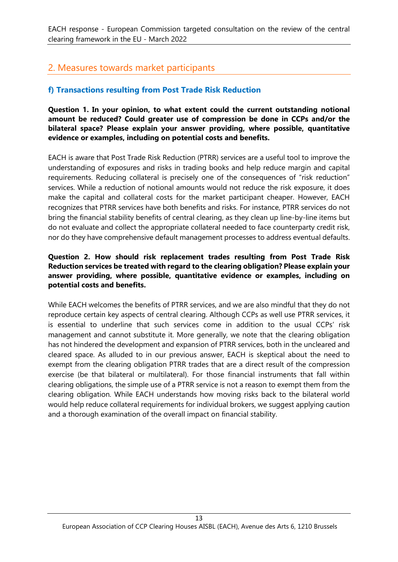# 2. Measures towards market participants

## **f) Transactions resulting from Post Trade Risk Reduction**

**Question 1. In your opinion, to what extent could the current outstanding notional amount be reduced? Could greater use of compression be done in CCPs and/or the bilateral space? Please explain your answer providing, where possible, quantitative evidence or examples, including on potential costs and benefits.**

EACH is aware that Post Trade Risk Reduction (PTRR) services are a useful tool to improve the understanding of exposures and risks in trading books and help reduce margin and capital requirements. Reducing collateral is precisely one of the consequences of "risk reduction" services. While a reduction of notional amounts would not reduce the risk exposure, it does make the capital and collateral costs for the market participant cheaper. However, EACH recognizes that PTRR services have both benefits and risks. For instance, PTRR services do not bring the financial stability benefits of central clearing, as they clean up line-by-line items but do not evaluate and collect the appropriate collateral needed to face counterparty credit risk, nor do they have comprehensive default management processes to address eventual defaults.

#### **Question 2. How should risk replacement trades resulting from Post Trade Risk Reduction services be treated with regard to the clearing obligation? Please explain your answer providing, where possible, quantitative evidence or examples, including on potential costs and benefits.**

While EACH welcomes the benefits of PTRR services, and we are also mindful that they do not reproduce certain key aspects of central clearing. Although CCPs as well use PTRR services, it is essential to underline that such services come in addition to the usual CCPs' risk management and cannot substitute it. More generally, we note that the clearing obligation has not hindered the development and expansion of PTRR services, both in the uncleared and cleared space. As alluded to in our previous answer, EACH is skeptical about the need to exempt from the clearing obligation PTRR trades that are a direct result of the compression exercise (be that bilateral or multilateral). For those financial instruments that fall within clearing obligations, the simple use of a PTRR service is not a reason to exempt them from the clearing obligation. While EACH understands how moving risks back to the bilateral world would help reduce collateral requirements for individual brokers, we suggest applying caution and a thorough examination of the overall impact on financial stability.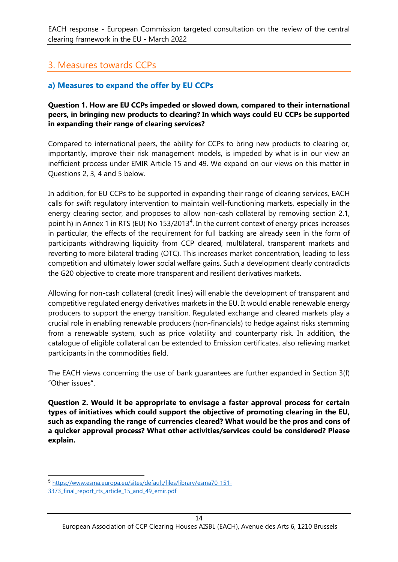# 3. Measures towards CCPs

## **a) Measures to expand the offer by EU CCPs**

#### **Question 1. How are EU CCPs impeded or slowed down, compared to their international peers, in bringing new products to clearing? In which ways could EU CCPs be supported in expanding their range of clearing services?**

Compared to international peers, the ability for CCPs to bring new products to clearing or, importantly, improve their risk management models, is impeded by what is in our view an inefficient process under EMIR Article 15 and 49. We expand on our views on this matter in Questions 2, 3, 4 and 5 below.

In addition, for EU CCPs to be supported in expanding their range of clearing services, EACH calls for swift regulatory intervention to maintain well-functioning markets, especially in the energy clearing sector, and proposes to allow non-cash collateral by removing section 2.1, point h) in Annex 1 in RTS (EU) No 153/2013<sup>[4](#page-13-0)</sup>. In the current context of energy prices increases in particular, the effects of the requirement for full backing are already seen in the form of participants withdrawing liquidity from CCP cleared, multilateral, transparent markets and reverting to more bilateral trading (OTC). This increases market concentration, leading to less competition and ultimately lower social welfare gains. Such a development clearly contradicts the G20 objective to create more transparent and resilient derivatives markets.

Allowing for non-cash collateral (credit lines) will enable the development of transparent and competitive regulated energy derivatives markets in the EU. It would enable renewable energy producers to support the energy transition. Regulated exchange and cleared markets play a crucial role in enabling renewable producers (non-financials) to hedge against risks stemming from a renewable system, such as price volatility and counterparty risk. In addition, the catalogue of eligible collateral can be extended to Emission certificates, also relieving market participants in the commodities field.

The EACH views concerning the use of bank guarantees are further expanded in Section 3(f) "Other issues".

**Question 2. Would it be appropriate to envisage a faster approval process for certain types of initiatives which could support the objective of promoting clearing in the EU, such as expanding the range of currencies cleared? What would be the pros and cons of a quicker approval process? What other activities/services could be considered? Please explain.**

<sup>5</sup> [https://www.esma.europa.eu/sites/default/files/library/esma70-151-](https://www.esma.europa.eu/sites/default/files/library/esma70-151-3373_final_report_rts_article_15_and_49_emir.pdf)

<span id="page-13-0"></span><sup>3373</sup> final report rts article 15 and 49 emir.pdf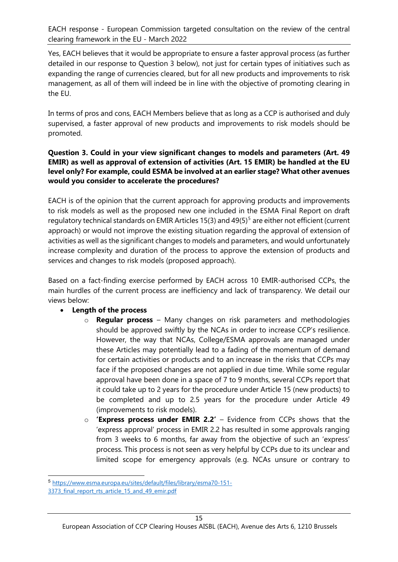Yes, EACH believes that it would be appropriate to ensure a faster approval process (as further detailed in our response to Question 3 below), not just for certain types of initiatives such as expanding the range of currencies cleared, but for all new products and improvements to risk management, as all of them will indeed be in line with the objective of promoting clearing in the EU.

In terms of pros and cons, EACH Members believe that as long as a CCP is authorised and duly supervised, a faster approval of new products and improvements to risk models should be promoted.

#### **Question 3. Could in your view significant changes to models and parameters (Art. 49 EMIR) as well as approval of extension of activities (Art. 15 EMIR) be handled at the EU level only? For example, could ESMA be involved at an earlier stage? What other avenues would you consider to accelerate the procedures?**

EACH is of the opinion that the current approach for approving products and improvements to risk models as well as the proposed new one included in the ESMA Final Report on draft regulatory technical standards on EMIR Articles 1[5](#page-14-0)(3) and  $49(5)^5$  are either not efficient (current approach) or would not improve the existing situation regarding the approval of extension of activities as well as the significant changes to models and parameters, and would unfortunately increase complexity and duration of the process to approve the extension of products and services and changes to risk models (proposed approach).

Based on a fact-finding exercise performed by EACH across 10 EMIR-authorised CCPs, the main hurdles of the current process are inefficiency and lack of transparency. We detail our views below:

#### • **Length of the process**

- o **Regular process** Many changes on risk parameters and methodologies should be approved swiftly by the NCAs in order to increase CCP's resilience. However, the way that NCAs, College/ESMA approvals are managed under these Articles may potentially lead to a fading of the momentum of demand for certain activities or products and to an increase in the risks that CCPs may face if the proposed changes are not applied in due time. While some regular approval have been done in a space of 7 to 9 months, several CCPs report that it could take up to 2 years for the procedure under Article 15 (new products) to be completed and up to 2.5 years for the procedure under Article 49 (improvements to risk models).
- o **'Express process under EMIR 2.2'** Evidence from CCPs shows that the 'express approval' process in EMIR 2.2 has resulted in some approvals ranging from 3 weeks to 6 months, far away from the objective of such an 'express' process. This process is not seen as very helpful by CCPs due to its unclear and limited scope for emergency approvals (e.g. NCAs unsure or contrary to

<span id="page-14-0"></span><sup>5</sup> [https://www.esma.europa.eu/sites/default/files/library/esma70-151-](https://www.esma.europa.eu/sites/default/files/library/esma70-151-3373_final_report_rts_article_15_and_49_emir.pdf)

<sup>3373</sup> final report rts article 15 and 49 emir.pdf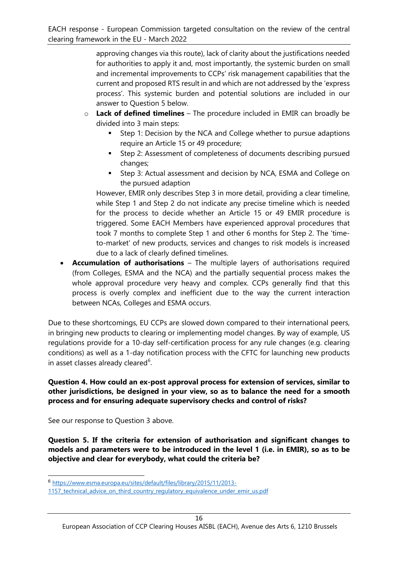approving changes via this route), lack of clarity about the justifications needed for authorities to apply it and, most importantly, the systemic burden on small and incremental improvements to CCPs' risk management capabilities that the current and proposed RTS result in and which are not addressed by the 'express process'. This systemic burden and potential solutions are included in our answer to Question 5 below.

- o **Lack of defined timelines** The procedure included in EMIR can broadly be divided into 3 main steps:
	- **Step 1: Decision by the NCA and College whether to pursue adaptions** require an Article 15 or 49 procedure;
	- Step 2: Assessment of completeness of documents describing pursued changes;
	- Step 3: Actual assessment and decision by NCA, ESMA and College on the pursued adaption

However, EMIR only describes Step 3 in more detail, providing a clear timeline, while Step 1 and Step 2 do not indicate any precise timeline which is needed for the process to decide whether an Article 15 or 49 EMIR procedure is triggered. Some EACH Members have experienced approval procedures that took 7 months to complete Step 1 and other 6 months for Step 2. The 'timeto-market' of new products, services and changes to risk models is increased due to a lack of clearly defined timelines.

• **Accumulation of authorisations** – The multiple layers of authorisations required (from Colleges, ESMA and the NCA) and the partially sequential process makes the whole approval procedure very heavy and complex. CCPs generally find that this process is overly complex and inefficient due to the way the current interaction between NCAs, Colleges and ESMA occurs.

Due to these shortcomings, EU CCPs are slowed down compared to their international peers, in bringing new products to clearing or implementing model changes. By way of example, US regulations provide for a 10-day self-certification process for any rule changes (e.g. clearing conditions) as well as a 1-day notification process with the CFTC for launching new products in asset classes already cleared<sup>[6](#page-15-0)</sup>.

**Question 4. How could an ex-post approval process for extension of services, similar to other jurisdictions, be designed in your view, so as to balance the need for a smooth process and for ensuring adequate supervisory checks and control of risks?**

See our response to Question 3 above.

**Question 5. If the criteria for extension of authorisation and significant changes to models and parameters were to be introduced in the level 1 (i.e. in EMIR), so as to be objective and clear for everybody, what could the criteria be?**

<span id="page-15-0"></span><sup>6</sup> [https://www.esma.europa.eu/sites/default/files/library/2015/11/2013-](https://www.esma.europa.eu/sites/default/files/library/2015/11/2013-1157_technical_advice_on_third_country_regulatory_equivalence_under_emir_us.pdf)

<sup>1157</sup> technical advice on third country regulatory equivalence under emir us.pdf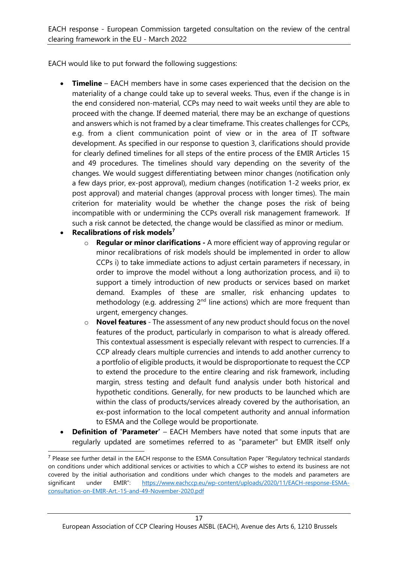EACH would like to put forward the following suggestions:

- **Timeline** EACH members have in some cases experienced that the decision on the materiality of a change could take up to several weeks. Thus, even if the change is in the end considered non-material, CCPs may need to wait weeks until they are able to proceed with the change. If deemed material, there may be an exchange of questions and answers which is not framed by a clear timeframe. This creates challenges for CCPs, e.g. from a client communication point of view or in the area of IT software development. As specified in our response to question 3, clarifications should provide for clearly defined timelines for all steps of the entire process of the EMIR Articles 15 and 49 procedures. The timelines should vary depending on the severity of the changes. We would suggest differentiating between minor changes (notification only a few days prior, ex-post approval), medium changes (notification 1-2 weeks prior, ex post approval) and material changes (approval process with longer times). The main criterion for materiality would be whether the change poses the risk of being incompatible with or undermining the CCPs overall risk management framework. If such a risk cannot be detected, the change would be classified as minor or medium.
- **Recalibrations of risk models[7](#page-16-0)**
	- o **Regular or minor clarifications** A more efficient way of approving regular or minor recalibrations of risk models should be implemented in order to allow CCPs i) to take immediate actions to adjust certain parameters if necessary, in order to improve the model without a long authorization process, and ii) to support a timely introduction of new products or services based on market demand. Examples of these are smaller, risk enhancing updates to methodology (e.g. addressing  $2<sup>nd</sup>$  line actions) which are more frequent than urgent, emergency changes.
	- o **Novel features** The assessment of any new product should focus on the novel features of the product, particularly in comparison to what is already offered. This contextual assessment is especially relevant with respect to currencies. If a CCP already clears multiple currencies and intends to add another currency to a portfolio of eligible products, it would be disproportionate to request the CCP to extend the procedure to the entire clearing and risk framework, including margin, stress testing and default fund analysis under both historical and hypothetic conditions. Generally, for new products to be launched which are within the class of products/services already covered by the authorisation, an ex-post information to the local competent authority and annual information to ESMA and the College would be proportionate.
- **Definition of 'Parameter'** EACH Members have noted that some inputs that are regularly updated are sometimes referred to as "parameter" but EMIR itself only

<span id="page-16-0"></span><sup>7</sup> Please see further detail in the EACH response to the ESMA Consultation Paper "Regulatory technical standards on conditions under which additional services or activities to which a CCP wishes to extend its business are not covered by the initial authorisation and conditions under which changes to the models and parameters are significant under EMIR": [https://www.eachccp.eu/wp-content/uploads/2020/11/EACH-response-ESMA](https://www.eachccp.eu/wp-content/uploads/2020/11/EACH-response-ESMA-consultation-on-EMIR-Art.-15-and-49-November-2020.pdf)[consultation-on-EMIR-Art.-15-and-49-November-2020.pdf](https://www.eachccp.eu/wp-content/uploads/2020/11/EACH-response-ESMA-consultation-on-EMIR-Art.-15-and-49-November-2020.pdf)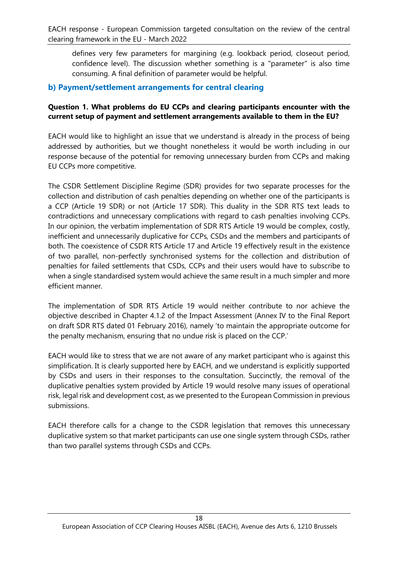defines very few parameters for margining (e.g. lookback period, closeout period, confidence level). The discussion whether something is a "parameter" is also time consuming. A final definition of parameter would be helpful.

#### **b) Payment/settlement arrangements for central clearing**

#### **Question 1. What problems do EU CCPs and clearing participants encounter with the current setup of payment and settlement arrangements available to them in the EU?**

EACH would like to highlight an issue that we understand is already in the process of being addressed by authorities, but we thought nonetheless it would be worth including in our response because of the potential for removing unnecessary burden from CCPs and making EU CCPs more competitive.

The CSDR Settlement Discipline Regime (SDR) provides for two separate processes for the collection and distribution of cash penalties depending on whether one of the participants is a CCP (Article 19 SDR) or not (Article 17 SDR). This duality in the SDR RTS text leads to contradictions and unnecessary complications with regard to cash penalties involving CCPs. In our opinion, the verbatim implementation of SDR RTS Article 19 would be complex, costly, inefficient and unnecessarily duplicative for CCPs, CSDs and the members and participants of both. The coexistence of CSDR RTS Article 17 and Article 19 effectively result in the existence of two parallel, non-perfectly synchronised systems for the collection and distribution of penalties for failed settlements that CSDs, CCPs and their users would have to subscribe to when a single standardised system would achieve the same result in a much simpler and more efficient manner.

The implementation of SDR RTS Article 19 would neither contribute to nor achieve the objective described in Chapter 4.1.2 of the Impact Assessment (Annex IV to the Final Report on draft SDR RTS dated 01 February 2016), namely 'to maintain the appropriate outcome for the penalty mechanism, ensuring that no undue risk is placed on the CCP.'

EACH would like to stress that we are not aware of any market participant who is against this simplification. It is clearly supported here by EACH, and we understand is explicitly supported by CSDs and users in their responses to the consultation. Succinctly, the removal of the duplicative penalties system provided by Article 19 would resolve many issues of operational risk, legal risk and development cost, as we presented to the European Commission in previous submissions.

<span id="page-17-0"></span>EACH therefore calls for a change to the CSDR legislation that removes this unnecessary duplicative system so that market participants can use one single system through CSDs, rather than two parallel systems through CSDs and CCPs.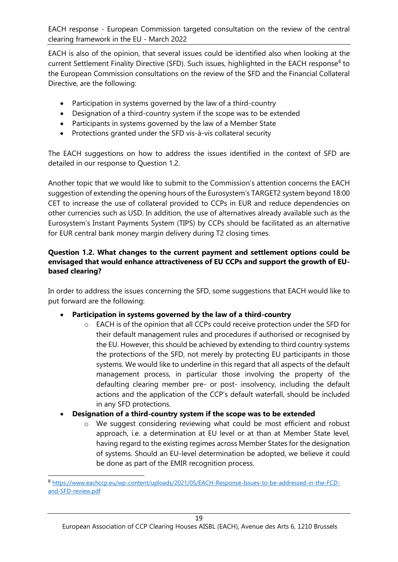EACH is also of the opinion, that several issues could be identified also when looking at the current Settlement Finality Directive (SFD). Such issues, highlighted in the EACH response<sup>[8](#page-17-0)</sup> to the European Commission consultations on the review of the SFD and the Financial Collateral Directive, are the following:

- Participation in systems governed by the law of a third-country
- Designation of a third-country system if the scope was to be extended
- Participants in systems governed by the law of a Member State
- Protections granted under the SFD vis-à-vis collateral security

The EACH suggestions on how to address the issues identified in the context of SFD are detailed in our response to Question 1.2.

Another topic that we would like to submit to the Commission's attention concerns the EACH suggestion of extending the opening hours of the Eurosystem's TARGET2 system beyond 18:00 CET to increase the use of collateral provided to CCPs in EUR and reduce dependencies on other currencies such as USD. In addition, the use of alternatives already available such as the Eurosystem's Instant Payments System (TIPS) by CCPs should be facilitated as an alternative for EUR central bank money margin delivery during T2 closing times.

#### **Question 1.2. What changes to the current payment and settlement options could be envisaged that would enhance attractiveness of EU CCPs and support the growth of EUbased clearing?**

In order to address the issues concerning the SFD, some suggestions that EACH would like to put forward are the following:

- **Participation in systems governed by the law of a third-country**
	- o EACH is of the opinion that all CCPs could receive protection under the SFD for their default management rules and procedures if authorised or recognised by the EU. However, this should be achieved by extending to third country systems the protections of the SFD, not merely by protecting EU participants in those systems. We would like to underline in this regard that all aspects of the default management process, in particular those involving the property of the defaulting clearing member pre- or post- insolvency, including the default actions and the application of the CCP's default waterfall, should be included in any SFD protections.
- **Designation of a third-country system if the scope was to be extended**
	- o We suggest considering reviewing what could be most efficient and robust approach, i.e. a determination at EU level or at than at Member State level, having regard to the existing regimes across Member States for the designation of systems. Should an EU-level determination be adopted, we believe it could be done as part of the EMIR recognition process.

<sup>8</sup> [https://www.eachccp.eu/wp-content/uploads/2021/05/EACH-Response-Issues-to-be-addressed-in-the-FCD](https://www.eachccp.eu/wp-content/uploads/2021/05/EACH-Response-Issues-to-be-addressed-in-the-FCD-and-SFD-review.pdf)[and-SFD-review.pdf](https://www.eachccp.eu/wp-content/uploads/2021/05/EACH-Response-Issues-to-be-addressed-in-the-FCD-and-SFD-review.pdf)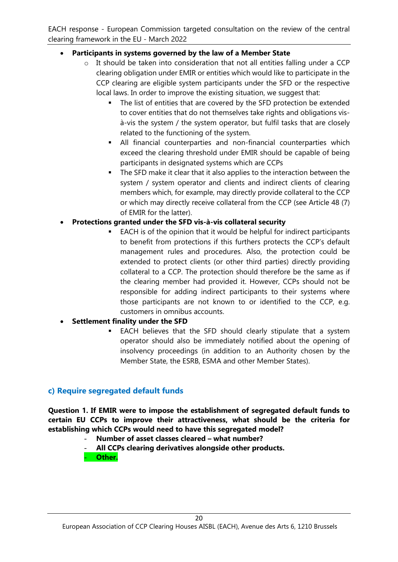#### • **Participants in systems governed by the law of a Member State**

- o It should be taken into consideration that not all entities falling under a CCP clearing obligation under EMIR or entities which would like to participate in the CCP clearing are eligible system participants under the SFD or the respective local laws. In order to improve the existing situation, we suggest that:
	- The list of entities that are covered by the SFD protection be extended to cover entities that do not themselves take rights and obligations visà-vis the system / the system operator, but fulfil tasks that are closely related to the functioning of the system.
	- All financial counterparties and non-financial counterparties which exceed the clearing threshold under EMIR should be capable of being participants in designated systems which are CCPs
	- The SFD make it clear that it also applies to the interaction between the system / system operator and clients and indirect clients of clearing members which, for example, may directly provide collateral to the CCP or which may directly receive collateral from the CCP (see Article 48 (7) of EMIR for the latter).

#### • **Protections granted under the SFD vis-à-vis collateral security**

 EACH is of the opinion that it would be helpful for indirect participants to benefit from protections if this furthers protects the CCP's default management rules and procedures. Also, the protection could be extended to protect clients (or other third parties) directly providing collateral to a CCP. The protection should therefore be the same as if the clearing member had provided it. However, CCPs should not be responsible for adding indirect participants to their systems where those participants are not known to or identified to the CCP, e.g. customers in omnibus accounts.

#### • **Settlement finality under the SFD**

 EACH believes that the SFD should clearly stipulate that a system operator should also be immediately notified about the opening of insolvency proceedings (in addition to an Authority chosen by the Member State, the ESRB, ESMA and other Member States).

#### **c) Require segregated default funds**

**Question 1. If EMIR were to impose the establishment of segregated default funds to certain EU CCPs to improve their attractiveness, what should be the criteria for establishing which CCPs would need to have this segregated model?**

- **Number of asset classes cleared what number?**
- **All CCPs clearing derivatives alongside other products. Other.**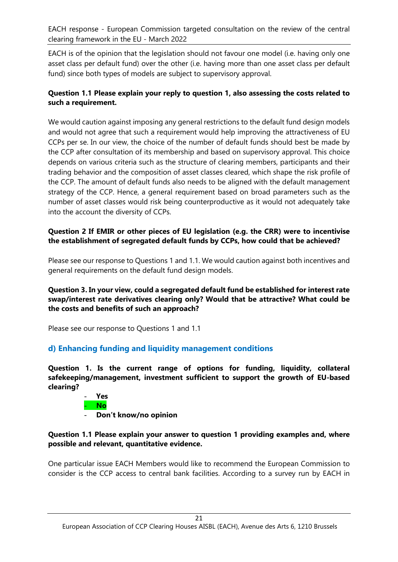EACH is of the opinion that the legislation should not favour one model (i.e. having only one asset class per default fund) over the other (i.e. having more than one asset class per default fund) since both types of models are subject to supervisory approval.

#### **Question 1.1 Please explain your reply to question 1, also assessing the costs related to such a requirement.**

We would caution against imposing any general restrictions to the default fund design models and would not agree that such a requirement would help improving the attractiveness of EU CCPs per se. In our view, the choice of the number of default funds should best be made by the CCP after consultation of its membership and based on supervisory approval. This choice depends on various criteria such as the structure of clearing members, participants and their trading behavior and the composition of asset classes cleared, which shape the risk profile of the CCP. The amount of default funds also needs to be aligned with the default management strategy of the CCP. Hence, a general requirement based on broad parameters such as the number of asset classes would risk being counterproductive as it would not adequately take into the account the diversity of CCPs.

#### **Question 2 If EMIR or other pieces of EU legislation (e.g. the CRR) were to incentivise the establishment of segregated default funds by CCPs, how could that be achieved?**

Please see our response to Questions 1 and 1.1. We would caution against both incentives and general requirements on the default fund design models.

#### **Question 3. In your view, could a segregated default fund be established for interest rate swap/interest rate derivatives clearing only? Would that be attractive? What could be the costs and benefits of such an approach?**

Please see our response to Questions 1 and 1.1

#### **d) Enhancing funding and liquidity management conditions**

**Question 1. Is the current range of options for funding, liquidity, collateral safekeeping/management, investment sufficient to support the growth of EU-based clearing?**



- **Don't know/no opinion**

#### **Question 1.1 Please explain your answer to question 1 providing examples and, where possible and relevant, quantitative evidence.**

<span id="page-20-0"></span>One particular issue EACH Members would like to recommend the European Commission to consider is the CCP access to central bank facilities. According to a survey run by EACH in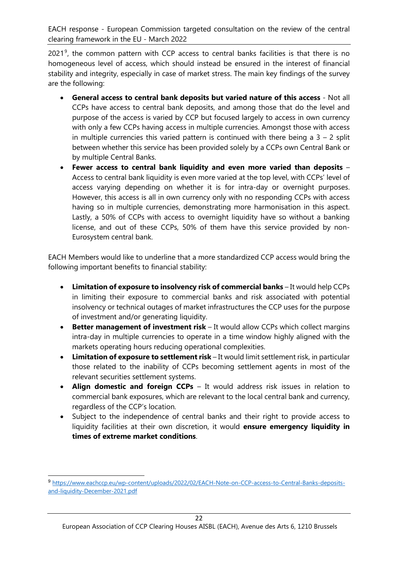2021<sup>[9](#page-20-0)</sup>, the common pattern with CCP access to central banks facilities is that there is no homogeneous level of access, which should instead be ensured in the interest of financial stability and integrity, especially in case of market stress. The main key findings of the survey are the following:

- **General access to central bank deposits but varied nature of this access**  Not all CCPs have access to central bank deposits, and among those that do the level and purpose of the access is varied by CCP but focused largely to access in own currency with only a few CCPs having access in multiple currencies. Amongst those with access in multiple currencies this varied pattern is continued with there being a  $3 - 2$  split between whether this service has been provided solely by a CCPs own Central Bank or by multiple Central Banks.
- **Fewer access to central bank liquidity and even more varied than deposits**  Access to central bank liquidity is even more varied at the top level, with CCPs' level of access varying depending on whether it is for intra-day or overnight purposes. However, this access is all in own currency only with no responding CCPs with access having so in multiple currencies, demonstrating more harmonisation in this aspect. Lastly, a 50% of CCPs with access to overnight liquidity have so without a banking license, and out of these CCPs, 50% of them have this service provided by non-Eurosystem central bank.

EACH Members would like to underline that a more standardized CCP access would bring the following important benefits to financial stability:

- Limitation of exposure to insolvency risk of commercial banks It would help CCPs in limiting their exposure to commercial banks and risk associated with potential insolvency or technical outages of market infrastructures the CCP uses for the purpose of investment and/or generating liquidity.
- **Better management of investment risk**  It would allow CCPs which collect margins intra-day in multiple currencies to operate in a time window highly aligned with the markets operating hours reducing operational complexities.
- **Limitation of exposure to settlement risk**  It would limit settlement risk, in particular those related to the inability of CCPs becoming settlement agents in most of the relevant securities settlement systems.
- **Align domestic and foreign CCPs**  It would address risk issues in relation to commercial bank exposures, which are relevant to the local central bank and currency, regardless of the CCP's location.
- Subject to the independence of central banks and their right to provide access to liquidity facilities at their own discretion, it would **ensure emergency liquidity in times of extreme market conditions**.

<sup>9</sup> [https://www.eachccp.eu/wp-content/uploads/2022/02/EACH-Note-on-CCP-access-to-Central-Banks-deposits](https://www.eachccp.eu/wp-content/uploads/2022/02/EACH-Note-on-CCP-access-to-Central-Banks-deposits-and-liquidity-December-2021.pdf)[and-liquidity-December-2021.pdf](https://www.eachccp.eu/wp-content/uploads/2022/02/EACH-Note-on-CCP-access-to-Central-Banks-deposits-and-liquidity-December-2021.pdf)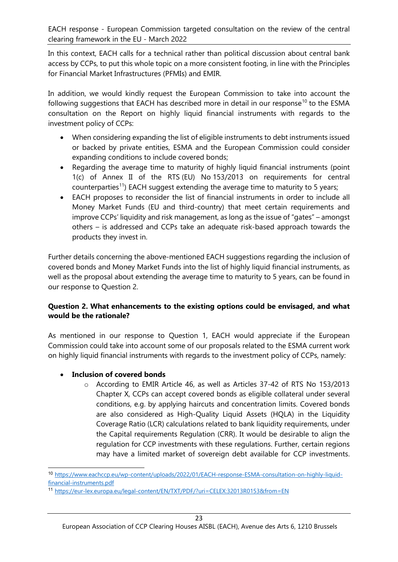In this context, EACH calls for a technical rather than political discussion about central bank access by CCPs, to put this whole topic on a more consistent footing, in line with the Principles for Financial Market Infrastructures (PFMIs) and EMIR.

In addition, we would kindly request the European Commission to take into account the following suggestions that EACH has described more in detail in our response<sup>[10](#page-22-0)</sup> to the ESMA consultation on the Report on highly liquid financial instruments with regards to the investment policy of CCPs:

- When considering expanding the list of eligible instruments to debt instruments issued or backed by private entities, ESMA and the European Commission could consider expanding conditions to include covered bonds;
- Regarding the average time to maturity of highly liquid financial instruments (point 1(c) of Annex II of the RTS (EU) No 153/2013 on requirements for central counterparties<sup>11</sup>) EACH suggest extending the average time to maturity to 5 years;
- EACH proposes to reconsider the list of financial instruments in order to include all Money Market Funds (EU and third-country) that meet certain requirements and improve CCPs' liquidity and risk management, as long as the issue of "gates" – amongst others – is addressed and CCPs take an adequate risk-based approach towards the products they invest in.

Further details concerning the above-mentioned EACH suggestions regarding the inclusion of covered bonds and Money Market Funds into the list of highly liquid financial instruments, as well as the proposal about extending the average time to maturity to 5 years, can be found in our response to Question 2.

#### **Question 2. What enhancements to the existing options could be envisaged, and what would be the rationale?**

As mentioned in our response to Question 1, EACH would appreciate if the European Commission could take into account some of our proposals related to the ESMA current work on highly liquid financial instruments with regards to the investment policy of CCPs, namely:

#### • **Inclusion of covered bonds**

o According to EMIR Article 46, as well as Articles 37-42 of RTS No 153/2013 Chapter X, CCPs can accept covered bonds as eligible collateral under several conditions, e.g. by applying haircuts and concentration limits. Covered bonds are also considered as High-Quality Liquid Assets (HQLA) in the Liquidity Coverage Ratio (LCR) calculations related to bank liquidity requirements, under the Capital requirements Regulation (CRR). It would be desirable to align the regulation for CCP investments with these regulations. Further, certain regions may have a limited market of sovereign debt available for CCP investments.

<span id="page-22-0"></span><sup>10</sup> [https://www.eachccp.eu/wp-content/uploads/2022/01/EACH-response-ESMA-consultation-on-highly-liquid](https://www.eachccp.eu/wp-content/uploads/2022/01/EACH-response-ESMA-consultation-on-highly-liquid-financial-instruments.pdf)financial-instruments.pdf11 <https://eur-lex.europa.eu/legal-content/EN/TXT/PDF/?uri=CELEX:32013R0153&from=EN>

<span id="page-22-1"></span>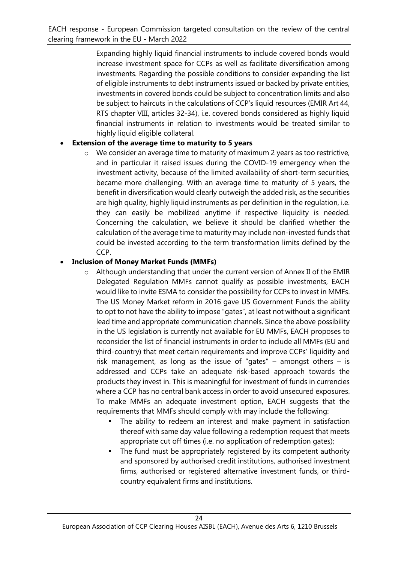Expanding highly liquid financial instruments to include covered bonds would increase investment space for CCPs as well as facilitate diversification among investments. Regarding the possible conditions to consider expanding the list of eligible instruments to debt instruments issued or backed by private entities, investments in covered bonds could be subject to concentration limits and also be subject to haircuts in the calculations of CCP's liquid resources (EMIR Art 44, RTS chapter VIII, articles 32-34), i.e. covered bonds considered as highly liquid financial instruments in relation to investments would be treated similar to highly liquid eligible collateral.

## • **Extension of the average time to maturity to 5 years**

o We consider an average time to maturity of maximum 2 years as too restrictive, and in particular it raised issues during the COVID-19 emergency when the investment activity, because of the limited availability of short-term securities, became more challenging. With an average time to maturity of 5 years, the benefit in diversification would clearly outweigh the added risk, as the securities are high quality, highly liquid instruments as per definition in the regulation, i.e. they can easily be mobilized anytime if respective liquidity is needed. Concerning the calculation, we believe it should be clarified whether the calculation of the average time to maturity may include non-invested funds that could be invested according to the term transformation limits defined by the CCP.

## • **Inclusion of Money Market Funds (MMFs)**

- o Although understanding that under the current version of Annex II of the EMIR Delegated Regulation MMFs cannot qualify as possible investments, EACH would like to invite ESMA to consider the possibility for CCPs to invest in MMFs. The US Money Market reform in 2016 gave US Government Funds the ability to opt to not have the ability to impose "gates", at least not without a significant lead time and appropriate communication channels. Since the above possibility in the US legislation is currently not available for EU MMFs, EACH proposes to reconsider the list of financial instruments in order to include all MMFs (EU and third-country) that meet certain requirements and improve CCPs' liquidity and risk management, as long as the issue of "gates" – amongst others – is addressed and CCPs take an adequate risk-based approach towards the products they invest in. This is meaningful for investment of funds in currencies where a CCP has no central bank access in order to avoid unsecured exposures. To make MMFs an adequate investment option, EACH suggests that the requirements that MMFs should comply with may include the following:
	- The ability to redeem an interest and make payment in satisfaction thereof with same day value following a redemption request that meets appropriate cut off times (i.e. no application of redemption gates);
	- The fund must be appropriately registered by its competent authority and sponsored by authorised credit institutions, authorised investment firms, authorised or registered alternative investment funds, or thirdcountry equivalent firms and institutions.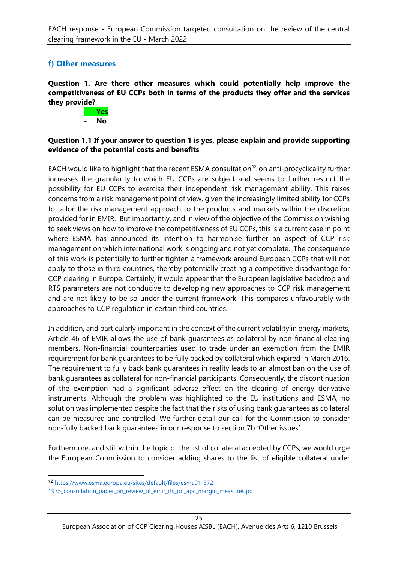## **f) Other measures**

**Question 1. Are there other measures which could potentially help improve the competitiveness of EU CCPs both in terms of the products they offer and the services they provide?**



#### **Question 1.1 If your answer to question 1 is yes, please explain and provide supporting evidence of the potential costs and benefits**

EACH would like to highlight that the recent ESMA consultation<sup>[12](#page-24-0)</sup> on anti-procyclicality further increases the granularity to which EU CCPs are subject and seems to further restrict the possibility for EU CCPs to exercise their independent risk management ability. This raises concerns from a risk management point of view, given the increasingly limited ability for CCPs to tailor the risk management approach to the products and markets within the discretion provided for in EMIR. But importantly, and in view of the objective of the Commission wishing to seek views on how to improve the competitiveness of EU CCPs, this is a current case in point where ESMA has announced its intention to harmonise further an aspect of CCP risk management on which international work is ongoing and not yet complete. The consequence of this work is potentially to further tighten a framework around European CCPs that will not apply to those in third countries, thereby potentially creating a competitive disadvantage for CCP clearing in Europe. Certainly, it would appear that the European legislative backdrop and RTS parameters are not conducive to developing new approaches to CCP risk management and are not likely to be so under the current framework. This compares unfavourably with approaches to CCP regulation in certain third countries.

In addition, and particularly important in the context of the current volatility in energy markets, Article 46 of EMIR allows the use of bank guarantees as collateral by non-financial clearing members. Non-financial counterparties used to trade under an exemption from the EMIR requirement for bank guarantees to be fully backed by collateral which expired in March 2016. The requirement to fully back bank guarantees in reality leads to an almost ban on the use of bank guarantees as collateral for non-financial participants. Consequently, the discontinuation of the exemption had a significant adverse effect on the clearing of energy derivative instruments. Although the problem was highlighted to the EU institutions and ESMA, no solution was implemented despite the fact that the risks of using bank guarantees as collateral can be measured and controlled. We further detail our call for the Commission to consider non-fully backed bank guarantees in our response to section 7b 'Other issues'.

Furthermore, and still within the topic of the list of collateral accepted by CCPs, we would urge the European Commission to consider adding shares to the list of eligible collateral under

<span id="page-24-0"></span><sup>12</sup> [https://www.esma.europa.eu/sites/default/files/esma91-372-](https://www.esma.europa.eu/sites/default/files/esma91-372-1975_consultation_paper_on_review_of_emir_rts_on_apc_margin_measures.pdf)

<sup>1975</sup> consultation paper on review of emir rts on apc margin measures.pdf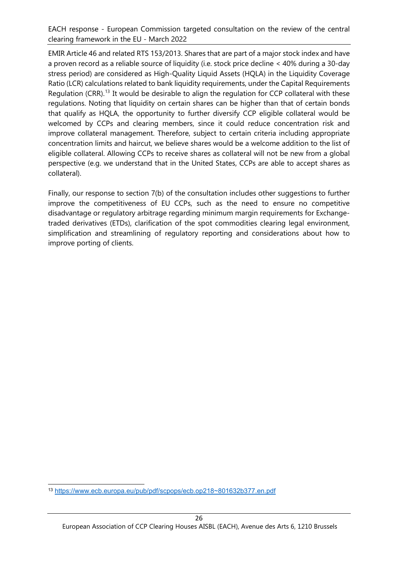EMIR Article 46 and related RTS 153/2013. Shares that are part of a major stock index and have a proven record as a reliable source of liquidity (i.e. stock price decline < 40% during a 30-day stress period) are considered as High-Quality Liquid Assets (HQLA) in the Liquidity Coverage Ratio (LCR) calculations related to bank liquidity requirements, under the Capital Requirements Regulation (CRR).<sup>13</sup> It would be desirable to align the regulation for CCP collateral with these regulations. Noting that liquidity on certain shares can be higher than that of certain bonds that qualify as HQLA, the opportunity to further diversify CCP eligible collateral would be welcomed by CCPs and clearing members, since it could reduce concentration risk and improve collateral management. Therefore, subject to certain criteria including appropriate concentration limits and haircut, we believe shares would be a welcome addition to the list of eligible collateral. Allowing CCPs to receive shares as collateral will not be new from a global perspective (e.g. we understand that in the United States, CCPs are able to accept shares as collateral).

Finally, our response to section 7(b) of the consultation includes other suggestions to further improve the competitiveness of EU CCPs, such as the need to ensure no competitive disadvantage or regulatory arbitrage regarding minimum margin requirements for Exchangetraded derivatives (ETDs), clarification of the spot commodities clearing legal environment, simplification and streamlining of regulatory reporting and considerations about how to improve porting of clients.

<span id="page-25-0"></span><sup>13</sup> [https://www.ecb.europa.eu/pub/pdf/scpops/ecb.op218~801632b377.en.pdf](https://www.ecb.europa.eu/pub/pdf/scpops/ecb.op218%7E801632b377.en.pdf)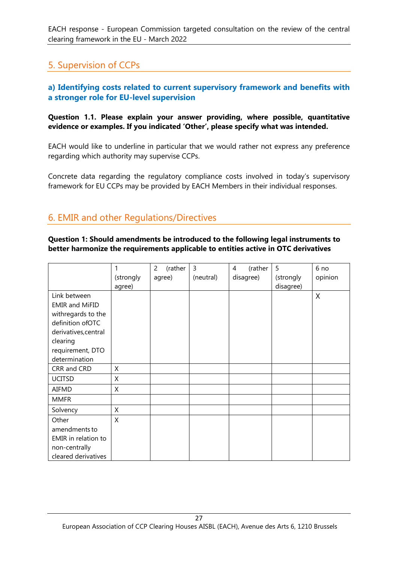# 5. Supervision of CCPs

#### **a) Identifying costs related to current supervisory framework and benefits with a stronger role for EU-level supervision**

**Question 1.1. Please explain your answer providing, where possible, quantitative evidence or examples. If you indicated 'Other', please specify what was intended.** 

EACH would like to underline in particular that we would rather not express any preference regarding which authority may supervise CCPs.

Concrete data regarding the regulatory compliance costs involved in today's supervisory framework for EU CCPs may be provided by EACH Members in their individual responses.

# 6. EMIR and other Regulations/Directives

**Question 1: Should amendments be introduced to the following legal instruments to better harmonize the requirements applicable to entities active in OTC derivatives**

|                       |           | (rather<br>2 | 3         | (rather<br>4 | 5         | 6 no    |
|-----------------------|-----------|--------------|-----------|--------------|-----------|---------|
|                       | (strongly | agree)       | (neutral) | disagree)    | (strongly | opinion |
|                       | agree)    |              |           |              | disagree) |         |
| Link between          |           |              |           |              |           | X       |
| <b>EMIR and MiFID</b> |           |              |           |              |           |         |
| withregards to the    |           |              |           |              |           |         |
| definition ofOTC      |           |              |           |              |           |         |
| derivatives, central  |           |              |           |              |           |         |
| clearing              |           |              |           |              |           |         |
| requirement, DTO      |           |              |           |              |           |         |
| determination         |           |              |           |              |           |         |
| CRR and CRD           | X         |              |           |              |           |         |
| <b>UCITSD</b>         | X         |              |           |              |           |         |
| AIFMD                 | X         |              |           |              |           |         |
| <b>MMFR</b>           |           |              |           |              |           |         |
| Solvency              | X         |              |           |              |           |         |
| Other                 | X         |              |           |              |           |         |
| amendments to         |           |              |           |              |           |         |
| EMIR in relation to   |           |              |           |              |           |         |
| non-centrally         |           |              |           |              |           |         |
| cleared derivatives   |           |              |           |              |           |         |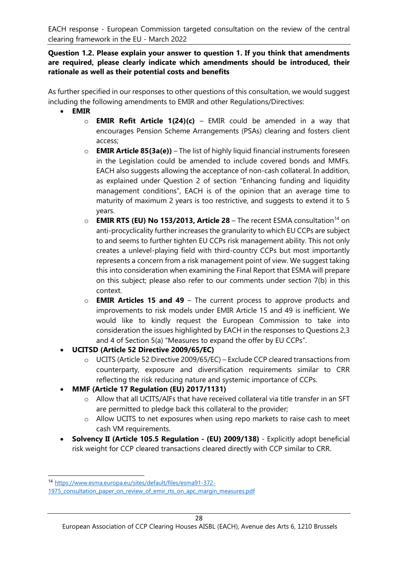#### **Question 1.2. Please explain your answer to question 1. If you think that amendments are required, please clearly indicate which amendments should be introduced, their rationale as well as their potential costs and benefits**

As further specified in our responses to other questions of this consultation, we would suggest including the following amendments to EMIR and other Regulations/Directives:

- **EMIR** 
	- o **EMIR Refit Article 1(24)(c)**  EMIR could be amended in a way that encourages Pension Scheme Arrangements (PSAs) clearing and fosters client access;
	- o **EMIR Article 85(3a(e))** The list of highly liquid financial instruments foreseen in the Legislation could be amended to include covered bonds and MMFs. EACH also suggests allowing the acceptance of non-cash collateral. In addition, as explained under Question 2 of section "Enhancing funding and liquidity management conditions", EACH is of the opinion that an average time to maturity of maximum 2 years is too restrictive, and suggests to extend it to 5 years.
	- o **EMIR RTS (EU) No 153/2013, Article 28** The recent ESMA consultation[14](#page-27-0) on anti-procyclicality further increases the granularity to which EU CCPs are subject to and seems to further tighten EU CCPs risk management ability. This not only creates a unlevel-playing field with third-country CCPs but most importantly represents a concern from a risk management point of view. We suggest taking this into consideration when examining the Final Report that ESMA will prepare on this subject; please also refer to our comments under section 7(b) in this context.
	- o **EMIR Articles 15 and 49** The current process to approve products and improvements to risk models under EMIR Article 15 and 49 is inefficient. We would like to kindly request the European Commission to take into consideration the issues highlighted by EACH in the responses to Questions 2,3 and 4 of Section 5(a) "Measures to expand the offer by EU CCPs".
- **UCITSD (Article 52 Directive 2009/65/EC)**
	- o UCITS (Article 52 Directive 2009/65/EC) Exclude CCP cleared transactions from counterparty, exposure and diversification requirements similar to CRR reflecting the risk reducing nature and systemic importance of CCPs.
- **MMF (Article 17 Regulation (EU) 2017/1131)**
	- o Allow that all UCITS/AIFs that have received collateral via title transfer in an SFT are permitted to pledge back this collateral to the provider;
	- o Allow UCITS to net exposures when using repo markets to raise cash to meet cash VM requirements.
- **Solvency II (Article 105.5 Regulation (EU) 2009/138)** Explicitly adopt beneficial risk weight for CCP cleared transactions cleared directly with CCP similar to CRR.

<span id="page-27-0"></span><sup>14</sup> [https://www.esma.europa.eu/sites/default/files/esma91-372-](https://www.esma.europa.eu/sites/default/files/esma91-372-1975_consultation_paper_on_review_of_emir_rts_on_apc_margin_measures.pdf)

<sup>1975</sup> consultation paper on review of emir rts on apc margin measures.pdf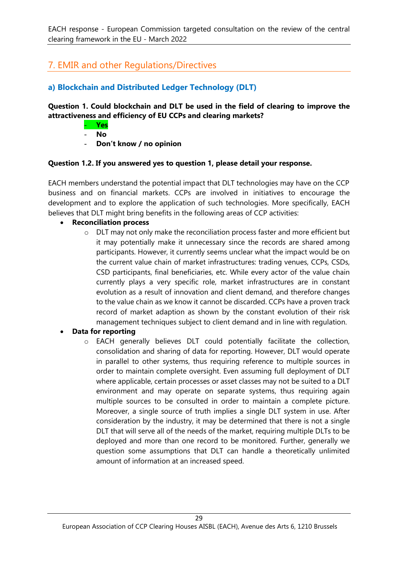# 7. EMIR and other Regulations/Directives

# **a) Blockchain and Distributed Ledger Technology (DLT)**

#### **Question 1. Could blockchain and DLT be used in the field of clearing to improve the attractiveness and efficiency of EU CCPs and clearing markets?**

- **Yes**
- **No**
- **Don't know / no opinion**

#### **Question 1.2. If you answered yes to question 1, please detail your response.**

EACH members understand the potential impact that DLT technologies may have on the CCP business and on financial markets. CCPs are involved in initiatives to encourage the development and to explore the application of such technologies. More specifically, EACH believes that DLT might bring benefits in the following areas of CCP activities:

#### • **Reconciliation process**

o DLT may not only make the reconciliation process faster and more efficient but it may potentially make it unnecessary since the records are shared among participants. However, it currently seems unclear what the impact would be on the current value chain of market infrastructures: trading venues, CCPs, CSDs, CSD participants, final beneficiaries, etc. While every actor of the value chain currently plays a very specific role, market infrastructures are in constant evolution as a result of innovation and client demand, and therefore changes to the value chain as we know it cannot be discarded. CCPs have a proven track record of market adaption as shown by the constant evolution of their risk management techniques subject to client demand and in line with regulation.

#### • **Data for reporting**

o EACH generally believes DLT could potentially facilitate the collection, consolidation and sharing of data for reporting. However, DLT would operate in parallel to other systems, thus requiring reference to multiple sources in order to maintain complete oversight. Even assuming full deployment of DLT where applicable, certain processes or asset classes may not be suited to a DLT environment and may operate on separate systems, thus requiring again multiple sources to be consulted in order to maintain a complete picture. Moreover, a single source of truth implies a single DLT system in use. After consideration by the industry, it may be determined that there is not a single DLT that will serve all of the needs of the market, requiring multiple DLTs to be deployed and more than one record to be monitored. Further, generally we question some assumptions that DLT can handle a theoretically unlimited amount of information at an increased speed.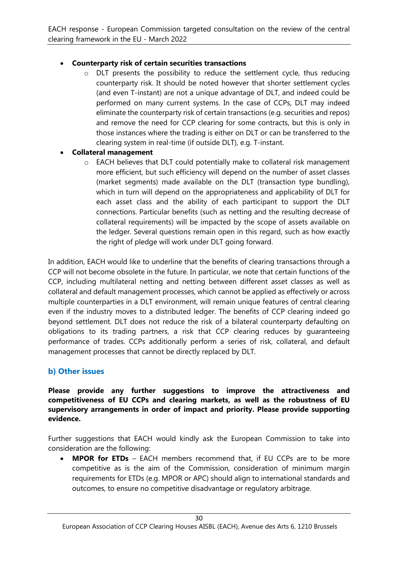#### • **Counterparty risk of certain securities transactions**

o DLT presents the possibility to reduce the settlement cycle, thus reducing counterparty risk. It should be noted however that shorter settlement cycles (and even T-instant) are not a unique advantage of DLT, and indeed could be performed on many current systems. In the case of CCPs, DLT may indeed eliminate the counterparty risk of certain transactions (e.g. securities and repos) and remove the need for CCP clearing for some contracts, but this is only in those instances where the trading is either on DLT or can be transferred to the clearing system in real-time (if outside DLT), e.g. T-instant.

#### • **Collateral management**

o EACH believes that DLT could potentially make to collateral risk management more efficient, but such efficiency will depend on the number of asset classes (market segments) made available on the DLT (transaction type bundling), which in turn will depend on the appropriateness and applicability of DLT for each asset class and the ability of each participant to support the DLT connections. Particular benefits (such as netting and the resulting decrease of collateral requirements) will be impacted by the scope of assets available on the ledger. Several questions remain open in this regard, such as how exactly the right of pledge will work under DLT going forward.

In addition, EACH would like to underline that the benefits of clearing transactions through a CCP will not become obsolete in the future. In particular, we note that certain functions of the CCP, including multilateral netting and netting between different asset classes as well as collateral and default management processes, which cannot be applied as effectively or across multiple counterparties in a DLT environment, will remain unique features of central clearing even if the industry moves to a distributed ledger. The benefits of CCP clearing indeed go beyond settlement. DLT does not reduce the risk of a bilateral counterparty defaulting on obligations to its trading partners, a risk that CCP clearing reduces by guaranteeing performance of trades. CCPs additionally perform a series of risk, collateral, and default management processes that cannot be directly replaced by DLT.

#### **b) Other issues**

**Please provide any further suggestions to improve the attractiveness and competitiveness of EU CCPs and clearing markets, as well as the robustness of EU supervisory arrangements in order of impact and priority. Please provide supporting evidence.**

Further suggestions that EACH would kindly ask the European Commission to take into consideration are the following:

• **MPOR for ETDs** – EACH members recommend that, if EU CCPs are to be more competitive as is the aim of the Commission, consideration of minimum margin requirements for ETDs (e.g. MPOR or APC) should align to international standards and outcomes, to ensure no competitive disadvantage or regulatory arbitrage.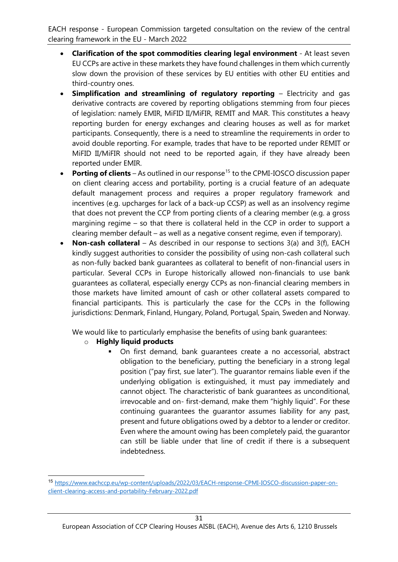- **Clarification of the spot commodities clearing legal environment**  At least seven EU CCPs are active in these markets they have found challenges in them which currently slow down the provision of these services by EU entities with other EU entities and third-country ones.
- **Simplification and streamlining of regulatory reporting** Electricity and gas derivative contracts are covered by reporting obligations stemming from four pieces of legislation: namely EMIR, MiFID II/MiFIR, REMIT and MAR. This constitutes a heavy reporting burden for energy exchanges and clearing houses as well as for market participants. Consequently, there is a need to streamline the requirements in order to avoid double reporting. For example, trades that have to be reported under REMIT or MiFID II/MiFIR should not need to be reported again, if they have already been reported under EMIR.
- **Porting of clients** As outlined in our response<sup>[15](#page-30-0)</sup> to the CPMI-IOSCO discussion paper on client clearing access and portability, porting is a crucial feature of an adequate default management process and requires a proper regulatory framework and incentives (e.g. upcharges for lack of a back-up CCSP) as well as an insolvency regime that does not prevent the CCP from porting clients of a clearing member (e.g. a gross margining regime – so that there is collateral held in the CCP in order to support a clearing member default – as well as a negative consent regime, even if temporary).
- **Non-cash collateral** As described in our response to sections 3(a) and 3(f), EACH kindly suggest authorities to consider the possibility of using non-cash collateral such as non-fully backed bank guarantees as collateral to benefit of non-financial users in particular. Several CCPs in Europe historically allowed non-financials to use bank guarantees as collateral, especially energy CCPs as non-financial clearing members in those markets have limited amount of cash or other collateral assets compared to financial participants. This is particularly the case for the CCPs in the following jurisdictions: Denmark, Finland, Hungary, Poland, Portugal, Spain, Sweden and Norway.

We would like to particularly emphasise the benefits of using bank quarantees:

- o **Highly liquid products**
	- On first demand, bank guarantees create a no accessorial, abstract obligation to the beneficiary, putting the beneficiary in a strong legal position ("pay first, sue later"). The guarantor remains liable even if the underlying obligation is extinguished, it must pay immediately and cannot object. The characteristic of bank guarantees as unconditional, irrevocable and on- first-demand, make them "highly liquid". For these continuing guarantees the guarantor assumes liability for any past, present and future obligations owed by a debtor to a lender or creditor. Even where the amount owing has been completely paid, the guarantor can still be liable under that line of credit if there is a subsequent indebtedness.

<span id="page-30-0"></span><sup>15</sup> [https://www.eachccp.eu/wp-content/uploads/2022/03/EACH-response-CPMI-IOSCO-discussion-paper-on](https://www.eachccp.eu/wp-content/uploads/2022/03/EACH-response-CPMI-IOSCO-discussion-paper-on-client-clearing-access-and-portability-February-2022.pdf)[client-clearing-access-and-portability-February-2022.pdf](https://www.eachccp.eu/wp-content/uploads/2022/03/EACH-response-CPMI-IOSCO-discussion-paper-on-client-clearing-access-and-portability-February-2022.pdf)